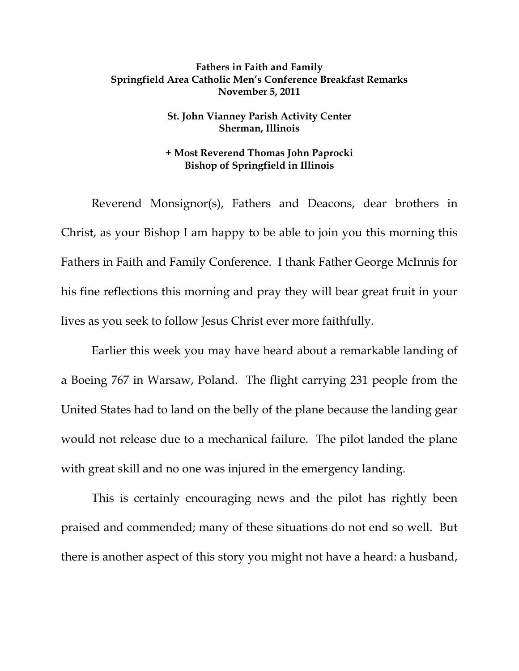## **Fathers in Faith and Family Springfield Area Catholic Men's Conference Breakfast Remarks November 5, 2011**

## **St. John Vianney Parish Activity Center Sherman, Illinois**

## **+ Most Reverend Thomas John Paprocki Bishop of Springfield in Illinois**

 Reverend Monsignor(s), Fathers and Deacons, dear brothers in Christ, as your Bishop I am happy to be able to join you this morning this Fathers in Faith and Family Conference. I thank Father George McInnis for his fine reflections this morning and pray they will bear great fruit in your lives as you seek to follow Jesus Christ ever more faithfully.

 Earlier this week you may have heard about a remarkable landing of a Boeing 767 in Warsaw, Poland. The flight carrying 231 people from the United States had to land on the belly of the plane because the landing gear would not release due to a mechanical failure. The pilot landed the plane with great skill and no one was injured in the emergency landing.

 This is certainly encouraging news and the pilot has rightly been praised and commended; many of these situations do not end so well. But there is another aspect of this story you might not have a heard: a husband,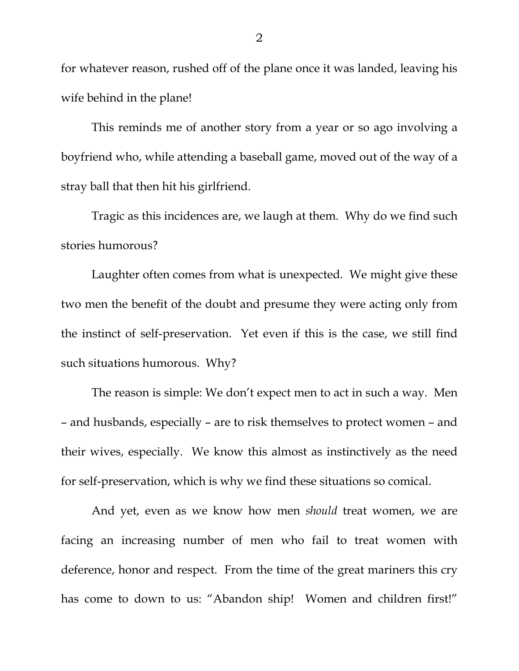for whatever reason, rushed off of the plane once it was landed, leaving his wife behind in the plane!

 This reminds me of another story from a year or so ago involving a boyfriend who, while attending a baseball game, moved out of the way of a stray ball that then hit his girlfriend.

 Tragic as this incidences are, we laugh at them. Why do we find such stories humorous?

Laughter often comes from what is unexpected. We might give these two men the benefit of the doubt and presume they were acting only from the instinct of self-preservation. Yet even if this is the case, we still find such situations humorous. Why?

The reason is simple: We don't expect men to act in such a way. Men – and husbands, especially – are to risk themselves to protect women – and their wives, especially. We know this almost as instinctively as the need for self-preservation, which is why we find these situations so comical.

 And yet, even as we know how men *should* treat women, we are facing an increasing number of men who fail to treat women with deference, honor and respect. From the time of the great mariners this cry has come to down to us: "Abandon ship! Women and children first!"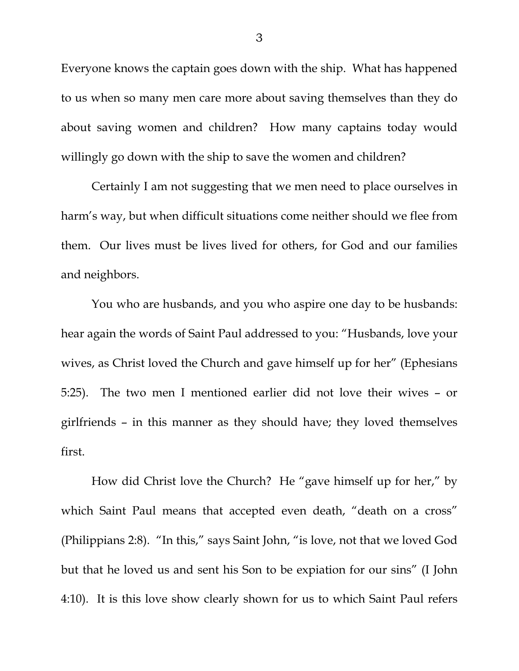Everyone knows the captain goes down with the ship. What has happened to us when so many men care more about saving themselves than they do about saving women and children? How many captains today would willingly go down with the ship to save the women and children?

 Certainly I am not suggesting that we men need to place ourselves in harm's way, but when difficult situations come neither should we flee from them. Our lives must be lives lived for others, for God and our families and neighbors.

You who are husbands, and you who aspire one day to be husbands: hear again the words of Saint Paul addressed to you: "Husbands, love your wives, as Christ loved the Church and gave himself up for her" (Ephesians 5:25). The two men I mentioned earlier did not love their wives – or girlfriends – in this manner as they should have; they loved themselves first.

 How did Christ love the Church? He "gave himself up for her," by which Saint Paul means that accepted even death, "death on a cross" (Philippians 2:8). "In this," says Saint John, "is love, not that we loved God but that he loved us and sent his Son to be expiation for our sins" (I John 4:10). It is this love show clearly shown for us to which Saint Paul refers

3